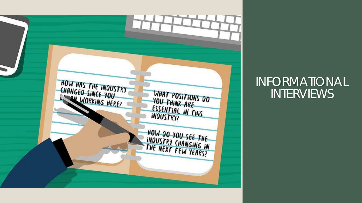

#### INFORMATIONAL INTERVIEWS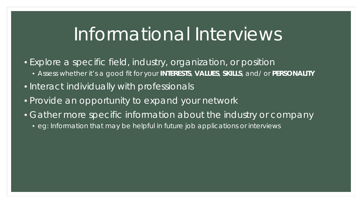## Informational Interviews

- Explore a specific field, industry, organization, or position
	- Assess whether it's a good fit for your **INTERESTS**, **VALUES**, **SKILLS**, and/ or **PERSONALITY**
- Interact individually with professionals
- Provide an opportunity to expand your network
- Gather more specific information about the industry or company
	- eg: Information that may be helpful in future job applications or interviews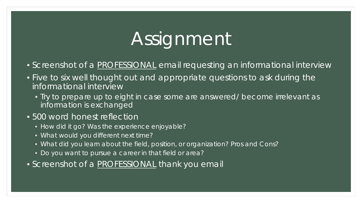# Assignment

- Screenshot of a **PROFESSIONAL** email requesting an informational interview
- Five to six well thought out and appropriate questions to ask during the informational interview
	- Try to prepare up to eight in case some are answered/ become irrelevant as information is exchanged
- 500 word honest reflection
	- How did it go? Was the experience enjoyable?
	- What would you different next time?
	- What did you learn about the field, position, or organization? Pros and Cons?
	- Do you want to pursue a career in that field or area?
- Screenshot of a **PROFESSIONAL** thank you email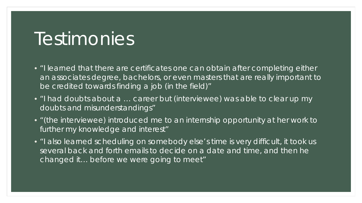### Testimonies

- "I learned that there are certificates one can obtain after completing either an associates degree, bachelors, or even masters that are really important to be credited towards finding a job (in the field)"
- "I had doubts about a … career but (interviewee) was able to clear up my doubts and misunderstandings"
- "(the interviewee) introduced me to an internship opportunity at her work to further my knowledge and interest"
- "I also learned scheduling on somebody else's time is very difficult, it took us several back and forth emails to decide on a date and time, and then he changed it… before we were going to meet"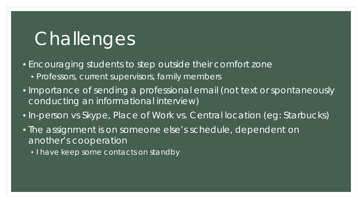## **Challenges**

• Encouraging students to step outside their comfort zone

- Professors, current supervisors, family members
- Importance of sending a professional email (not text or spontaneously conducting an informational interview)
- In-person vs Skype, Place of Work vs. Central location (eg: Starbucks)
- The assignment is on someone else's schedule, dependent on another's cooperation
	- I have keep some contacts on standby